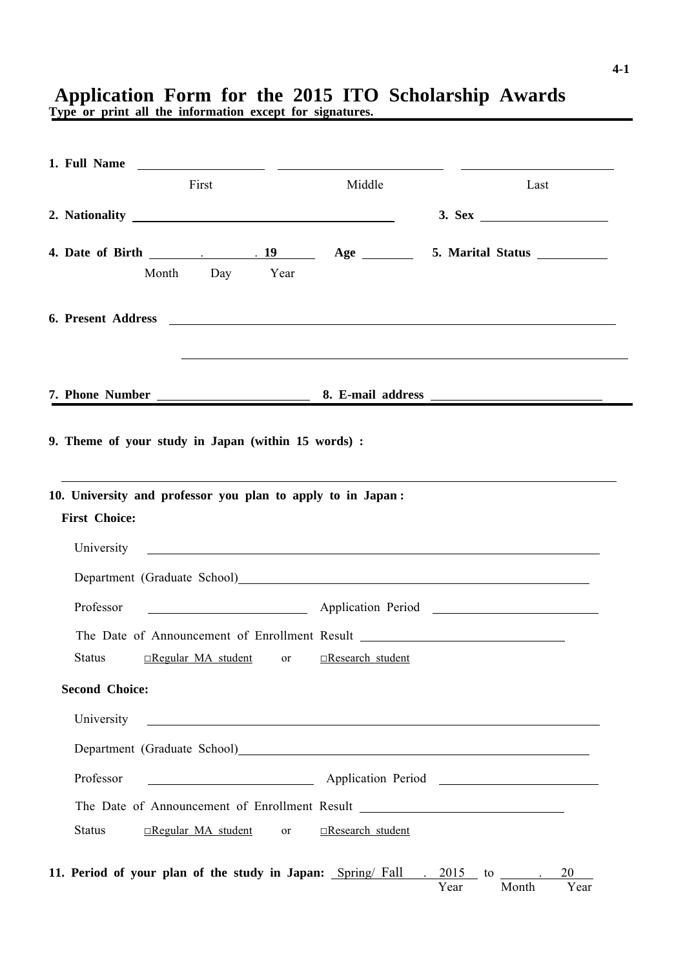## **Application Form for the 2015 ITO Scholarship Awards**

**Type or print all the information except for signatures.**

|                                                                          | First |                | Middle                                                                                               | Last                                                                                                                                                                                                                           |  |
|--------------------------------------------------------------------------|-------|----------------|------------------------------------------------------------------------------------------------------|--------------------------------------------------------------------------------------------------------------------------------------------------------------------------------------------------------------------------------|--|
| 2. Nationality                                                           |       |                |                                                                                                      |                                                                                                                                                                                                                                |  |
|                                                                          |       |                |                                                                                                      |                                                                                                                                                                                                                                |  |
|                                                                          |       | Month Day Year |                                                                                                      |                                                                                                                                                                                                                                |  |
|                                                                          |       |                |                                                                                                      |                                                                                                                                                                                                                                |  |
|                                                                          |       |                |                                                                                                      |                                                                                                                                                                                                                                |  |
|                                                                          |       |                |                                                                                                      |                                                                                                                                                                                                                                |  |
| 9. Theme of your study in Japan (within 15 words) :                      |       |                |                                                                                                      |                                                                                                                                                                                                                                |  |
|                                                                          |       |                |                                                                                                      |                                                                                                                                                                                                                                |  |
|                                                                          |       |                |                                                                                                      |                                                                                                                                                                                                                                |  |
|                                                                          |       |                |                                                                                                      |                                                                                                                                                                                                                                |  |
|                                                                          |       |                |                                                                                                      |                                                                                                                                                                                                                                |  |
| <b>First Choice:</b>                                                     |       |                |                                                                                                      |                                                                                                                                                                                                                                |  |
|                                                                          |       |                |                                                                                                      | University Lawrence and the contract of the contract of the contract of the contract of the contract of the contract of the contract of the contract of the contract of the contract of the contract of the contract of the co |  |
|                                                                          |       |                |                                                                                                      | Department (Graduate School) entrance and the contract of the contract of the contract of the contract of the contract of the contract of the contract of the contract of the contract of the contract of the contract of the  |  |
| Professor                                                                |       |                |                                                                                                      | Application Period                                                                                                                                                                                                             |  |
|                                                                          |       |                |                                                                                                      | The Date of Announcement of Enrollment Result ___________________________________                                                                                                                                              |  |
| Status                                                                   |       |                | <b>Example 18</b> Increase The Example 18 Increase The Example 18 Incredible 18 Incredible 18 Inches |                                                                                                                                                                                                                                |  |
| <b>Second Choice:</b>                                                    |       |                |                                                                                                      |                                                                                                                                                                                                                                |  |
| University                                                               |       |                |                                                                                                      | <u> 1989 - Johann Barbara, martxa alemaniar amerikan a</u>                                                                                                                                                                     |  |
|                                                                          |       |                |                                                                                                      | Department (Graduate School)<br><u>Department</u> (Graduate School)                                                                                                                                                            |  |
| 10. University and professor you plan to apply to in Japan:<br>Professor |       |                |                                                                                                      | Application Period 2000 Manual District Application Period 2000 Manual District Application Period                                                                                                                             |  |
|                                                                          |       |                |                                                                                                      | The Date of Announcement of Enrollment Result __________________________________                                                                                                                                               |  |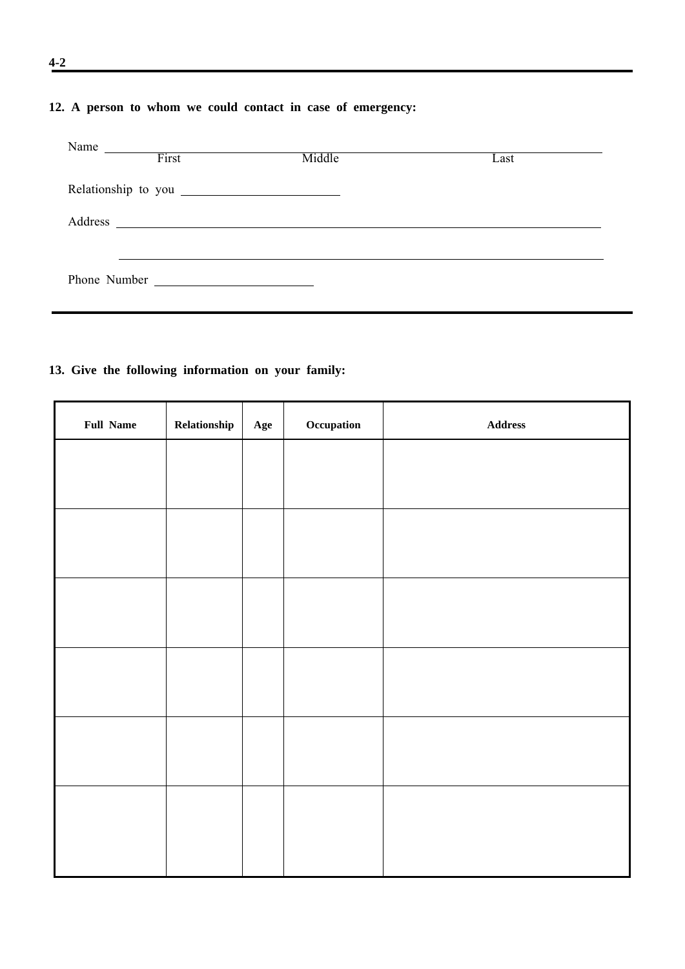## **12. A person to whom we could contact in case of emergency:**

| Name    | First        | Middle                                                                                                               | Last |  |
|---------|--------------|----------------------------------------------------------------------------------------------------------------------|------|--|
|         |              |                                                                                                                      |      |  |
| Address |              | <u> 1989 - Andrea State Barbara, amerikan personal di sebagai personal di sebagai personal di sebagai personal d</u> |      |  |
|         |              |                                                                                                                      |      |  |
|         | Phone Number |                                                                                                                      |      |  |

## **13. Give the following information on your family:**

| <b>Full Name</b> | Relationship | Age | Occupation | $\large\bf Address$ |
|------------------|--------------|-----|------------|---------------------|
|                  |              |     |            |                     |
|                  |              |     |            |                     |
|                  |              |     |            |                     |
|                  |              |     |            |                     |
|                  |              |     |            |                     |
|                  |              |     |            |                     |
|                  |              |     |            |                     |
|                  |              |     |            |                     |
|                  |              |     |            |                     |
|                  |              |     |            |                     |
|                  |              |     |            |                     |
|                  |              |     |            |                     |
|                  |              |     |            |                     |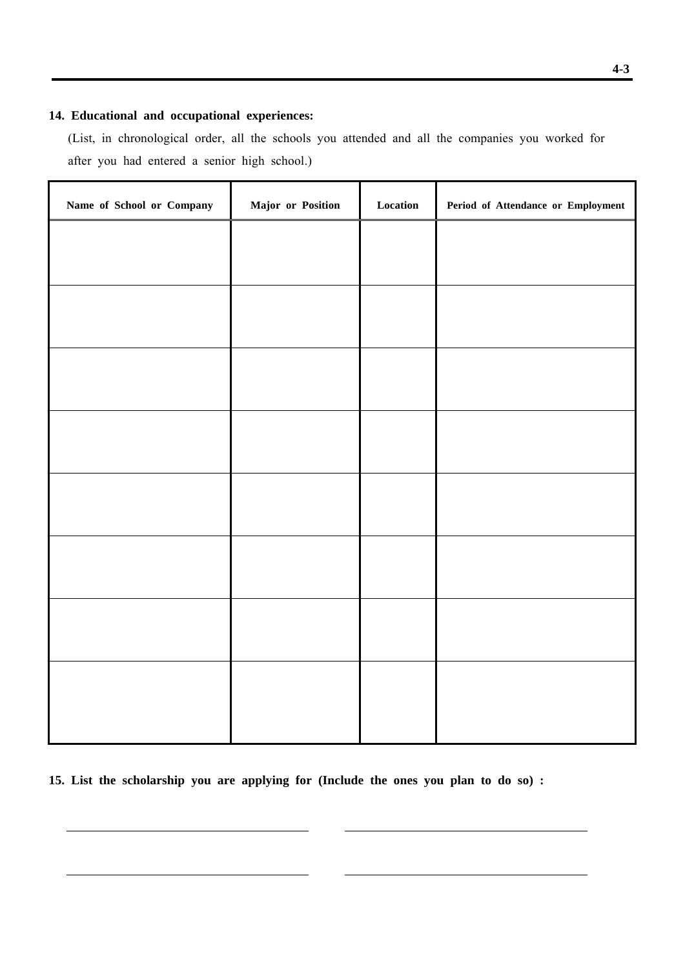## **14. Educational and occupational experiences:**

 (List, in chronological order, all the schools you attended and all the companies you worked for after you had entered a senior high school.)

| Name of School or Company | Major or Position | $\bf Location$ | Period of Attendance or Employment |
|---------------------------|-------------------|----------------|------------------------------------|
|                           |                   |                |                                    |
|                           |                   |                |                                    |
|                           |                   |                |                                    |
|                           |                   |                |                                    |
|                           |                   |                |                                    |
|                           |                   |                |                                    |
|                           |                   |                |                                    |
|                           |                   |                |                                    |
|                           |                   |                |                                    |
|                           |                   |                |                                    |
|                           |                   |                |                                    |
|                           |                   |                |                                    |
|                           |                   |                |                                    |
|                           |                   |                |                                    |
|                           |                   |                |                                    |
|                           |                   |                |                                    |
|                           |                   |                |                                    |

**15. List the scholarship you are applying for (Include the ones you plan to do so) :**